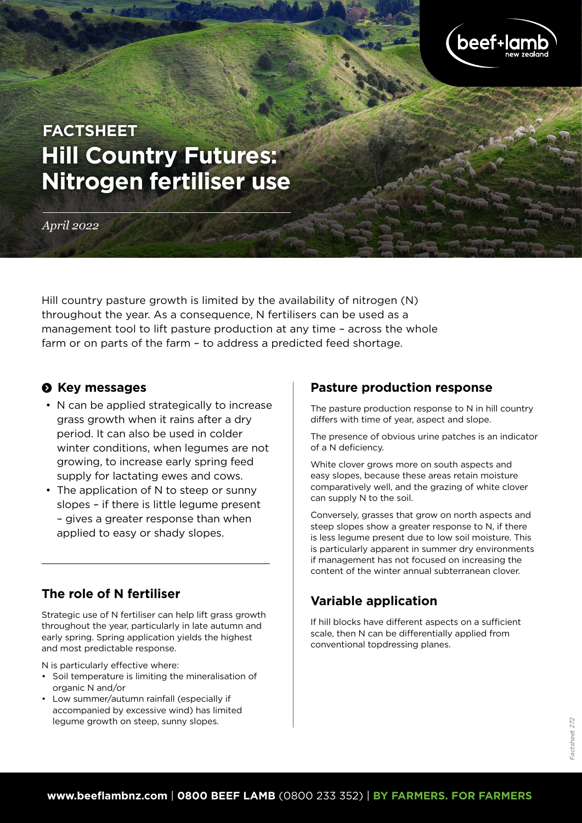

# **Hill Country Futures: Nitrogen fertiliser use FACTSHEET**

*April 2022*

Hill country pasture growth is limited by the availability of nitrogen (N) throughout the year. As a consequence, N fertilisers can be used as a management tool to lift pasture production at any time – across the whole farm or on parts of the farm – to address a predicted feed shortage.

## $\odot$  Key messages

- N can be applied strategically to increase grass growth when it rains after a dry period. It can also be used in colder winter conditions, when legumes are not growing, to increase early spring feed supply for lactating ewes and cows.
- The application of N to steep or sunny slopes – if there is little legume present – gives a greater response than when applied to easy or shady slopes.

## **The role of N fertiliser**

Strategic use of N fertiliser can help lift grass growth throughout the year, particularly in late autumn and early spring. Spring application yields the highest and most predictable response.

N is particularly effective where:

- Soil temperature is limiting the mineralisation of organic N and/or
- Low summer/autumn rainfall (especially if accompanied by excessive wind) has limited legume growth on steep, sunny slopes.

## **Pasture production response**

The pasture production response to N in hill country differs with time of year, aspect and slope.

The presence of obvious urine patches is an indicator of a N deficiency.

White clover grows more on south aspects and easy slopes, because these areas retain moisture comparatively well, and the grazing of white clover can supply N to the soil.

Conversely, grasses that grow on north aspects and steep slopes show a greater response to N, if there is less legume present due to low soil moisture. This is particularly apparent in summer dry environments if management has not focused on increasing the content of the winter annual subterranean clover.

# **Variable application**

If hill blocks have different aspects on a sufficient scale, then N can be differentially applied from conventional topdressing planes.